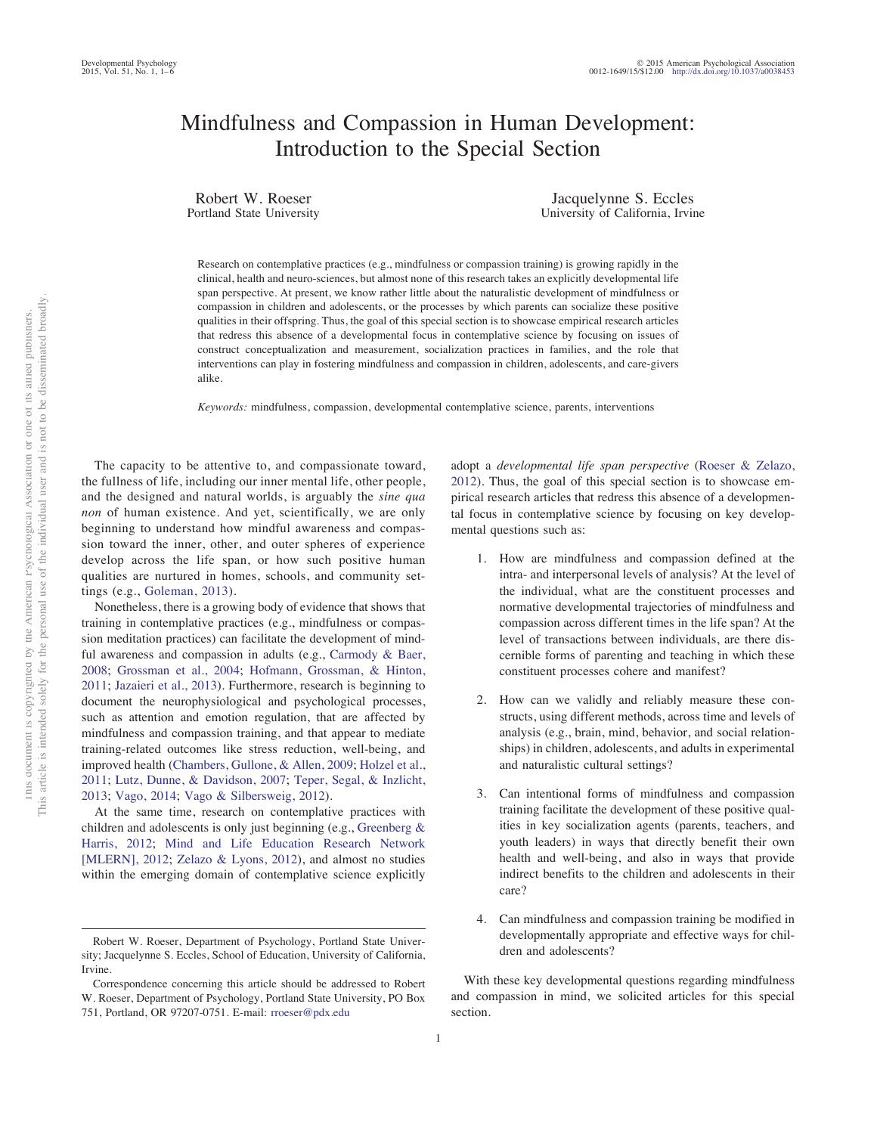# Mindfulness and Compassion in Human Development: Introduction to the Special Section

Robert W. Roeser Portland State University

Jacquelynne S. Eccles University of California, Irvine

Research on contemplative practices (e.g., mindfulness or compassion training) is growing rapidly in the clinical, health and neuro-sciences, but almost none of this research takes an explicitly developmental life span perspective. At present, we know rather little about the naturalistic development of mindfulness or compassion in children and adolescents, or the processes by which parents can socialize these positive qualities in their offspring. Thus, the goal of this special section is to showcase empirical research articles that redress this absence of a developmental focus in contemplative science by focusing on issues of construct conceptualization and measurement, socialization practices in families, and the role that interventions can play in fostering mindfulness and compassion in children, adolescents, and care-givers alike.

*Keywords:* mindfulness, compassion, developmental contemplative science, parents, interventions

The capacity to be attentive to, and compassionate toward, the fullness of life, including our inner mental life, other people, and the designed and natural worlds, is arguably the *sine qua non* of human existence. And yet, scientifically, we are only beginning to understand how mindful awareness and compassion toward the inner, other, and outer spheres of experience develop across the life span, or how such positive human qualities are nurtured in homes, schools, and community settings (e.g., Goleman, 2013).

Nonetheless, there is a growing body of evidence that shows that training in contemplative practices (e.g., mindfulness or compassion meditation practices) can facilitate the development of mindful awareness and compassion in adults (e.g., Carmody & Baer, 2008; Grossman et al., 2004; Hofmann, Grossman, & Hinton, 2011; Jazaieri et al., 2013). Furthermore, research is beginning to document the neurophysiological and psychological processes, such as attention and emotion regulation, that are affected by mindfulness and compassion training, and that appear to mediate training-related outcomes like stress reduction, well-being, and improved health (Chambers, Gullone, & Allen, 2009; Holzel et al., 2011; Lutz, Dunne, & Davidson, 2007; Teper, Segal, & Inzlicht, 2013; Vago, 2014; Vago & Silbersweig, 2012).

At the same time, research on contemplative practices with children and adolescents is only just beginning (e.g., Greenberg & Harris, 2012; Mind and Life Education Research Network [MLERN], 2012; Zelazo & Lyons, 2012), and almost no studies within the emerging domain of contemplative science explicitly adopt a *developmental life span perspective* (Roeser & Zelazo, 2012). Thus, the goal of this special section is to showcase empirical research articles that redress this absence of a developmental focus in contemplative science by focusing on key developmental questions such as:

- 1. How are mindfulness and compassion defined at the intra- and interpersonal levels of analysis? At the level of the individual, what are the constituent processes and normative developmental trajectories of mindfulness and compassion across different times in the life span? At the level of transactions between individuals, are there discernible forms of parenting and teaching in which these constituent processes cohere and manifest?
- 2. How can we validly and reliably measure these constructs, using different methods, across time and levels of analysis (e.g., brain, mind, behavior, and social relationships) in children, adolescents, and adults in experimental and naturalistic cultural settings?
- 3. Can intentional forms of mindfulness and compassion training facilitate the development of these positive qualities in key socialization agents (parents, teachers, and youth leaders) in ways that directly benefit their own health and well-being, and also in ways that provide indirect benefits to the children and adolescents in their care?
- 4. Can mindfulness and compassion training be modified in developmentally appropriate and effective ways for children and adolescents?

With these key developmental questions regarding mindfulness and compassion in mind, we solicited articles for this special section.

Robert W. Roeser, Department of Psychology, Portland State University; Jacquelynne S. Eccles, School of Education, University of California, Irvine.

Correspondence concerning this article should be addressed to Robert W. Roeser, Department of Psychology, Por[tland State Univer](mailto:rroeser@pdx.edu)sity, PO Box 751, Portland, OR 97207-0751. E-mail: rroeser@pdx.edu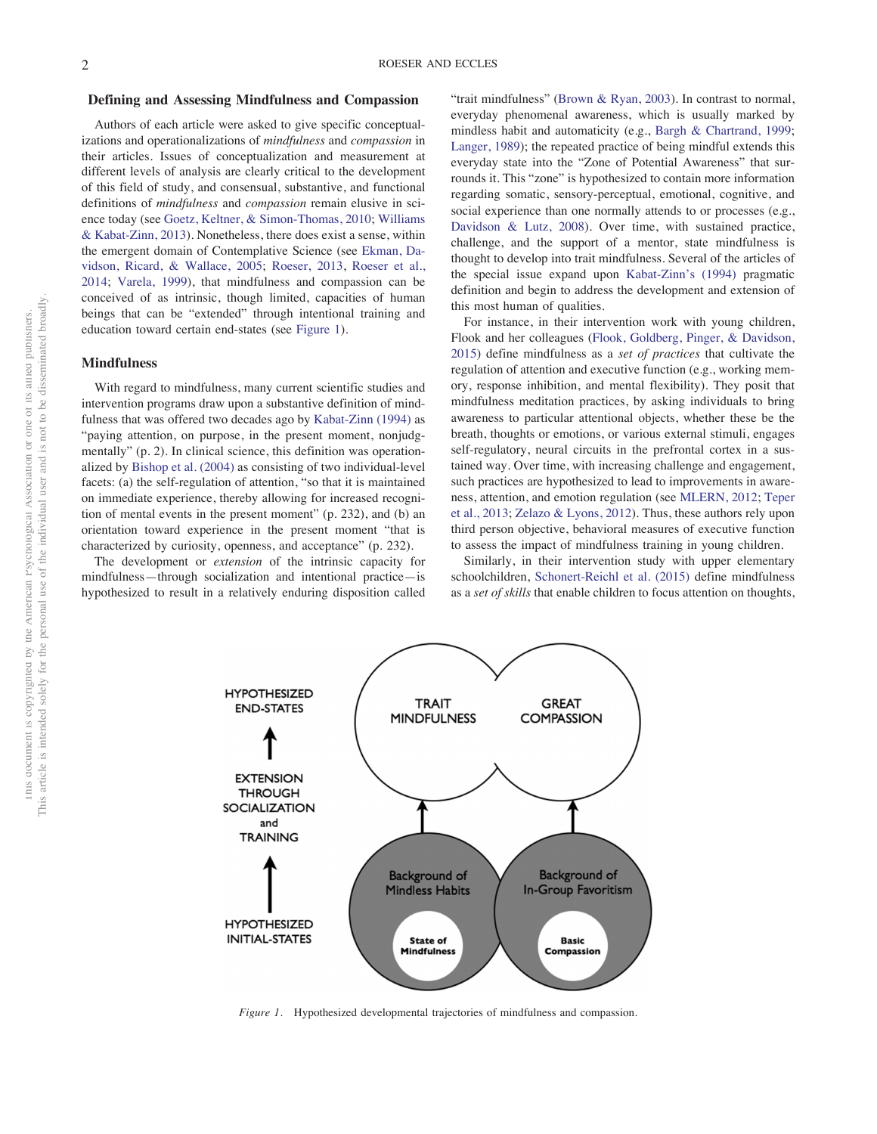### **Defining and Assessing Mindfulness and Compassion**

Authors of each article were asked to give specific conceptualizations and operationalizations of *mindfulness* and *compassion* in their articles. Issues of conceptualization and measurement at different levels of analysis are clearly critical to the development of this field of study, and consensual, substantive, and functional definitions of *mindfulness* and *compassion* remain elusive in science today (see Goetz, Keltner, & Simon-Thomas, 2010; Williams & Kabat-Zinn, 2013). Nonetheless, there does exist a sense, within the emergent domain of Contemplative Science (see Ekman, Davidson, Ricard, & Wallace, 2005; Roeser, 2013, Roeser et al., 2014; Varela, 1999), that mindfulness and compassion can be conceived of as intrinsic, though limited, capacities of human beings that can be "extended" through intentional training and education toward certain end-states (see Figure 1).

## **Mindfulness**

With regard to mindfulness, many current scientific studies and intervention programs draw upon a substantive definition of mindfulness that was offered two decades ago by Kabat-Zinn (1994) as "paying attention, on purpose, in the present moment, nonjudgmentally" (p. 2). In clinical science, this definition was operationalized by Bishop et al. (2004) as consisting of two individual-level facets: (a) the self-regulation of attention, "so that it is maintained on immediate experience, thereby allowing for increased recognition of mental events in the present moment" (p. 232), and (b) an orientation toward experience in the present moment "that is characterized by curiosity, openness, and acceptance" (p. 232).

The development or *extension* of the intrinsic capacity for mindfulness—through socialization and intentional practice—is hypothesized to result in a relatively enduring disposition called "trait mindfulness" (Brown & Ryan, 2003). In contrast to normal, everyday phenomenal awareness, which is usually marked by mindless habit and automaticity (e.g., Bargh & Chartrand, 1999; Langer, 1989); the repeated practice of being mindful extends this everyday state into the "Zone of Potential Awareness" that surrounds it. This "zone" is hypothesized to contain more information regarding somatic, sensory-perceptual, emotional, cognitive, and social experience than one normally attends to or processes (e.g., Davidson & Lutz, 2008). Over time, with sustained practice, challenge, and the support of a mentor, state mindfulness is thought to develop into trait mindfulness. Several of the articles of the special issue expand upon Kabat-Zinn's (1994) pragmatic definition and begin to address the development and extension of this most human of qualities.

For instance, in their intervention work with young children, Flook and her colleagues (Flook, Goldberg, Pinger, & Davidson, 2015) define mindfulness as a *set of practices* that cultivate the regulation of attention and executive function (e.g., working memory, response inhibition, and mental flexibility). They posit that mindfulness meditation practices, by asking individuals to bring awareness to particular attentional objects, whether these be the breath, thoughts or emotions, or various external stimuli, engages self-regulatory, neural circuits in the prefrontal cortex in a sustained way. Over time, with increasing challenge and engagement, such practices are hypothesized to lead to improvements in awareness, attention, and emotion regulation (see MLERN, 2012; Teper et al., 2013; Zelazo & Lyons, 2012). Thus, these authors rely upon third person objective, behavioral measures of executive function to assess the impact of mindfulness training in young children.

Similarly, in their intervention study with upper elementary schoolchildren, Schonert-Reichl et al. (2015) define mindfulness as a *set of skills* that enable children to focus attention on thoughts,



*Figure 1.* Hypothesized developmental trajectories of mindfulness and compassion.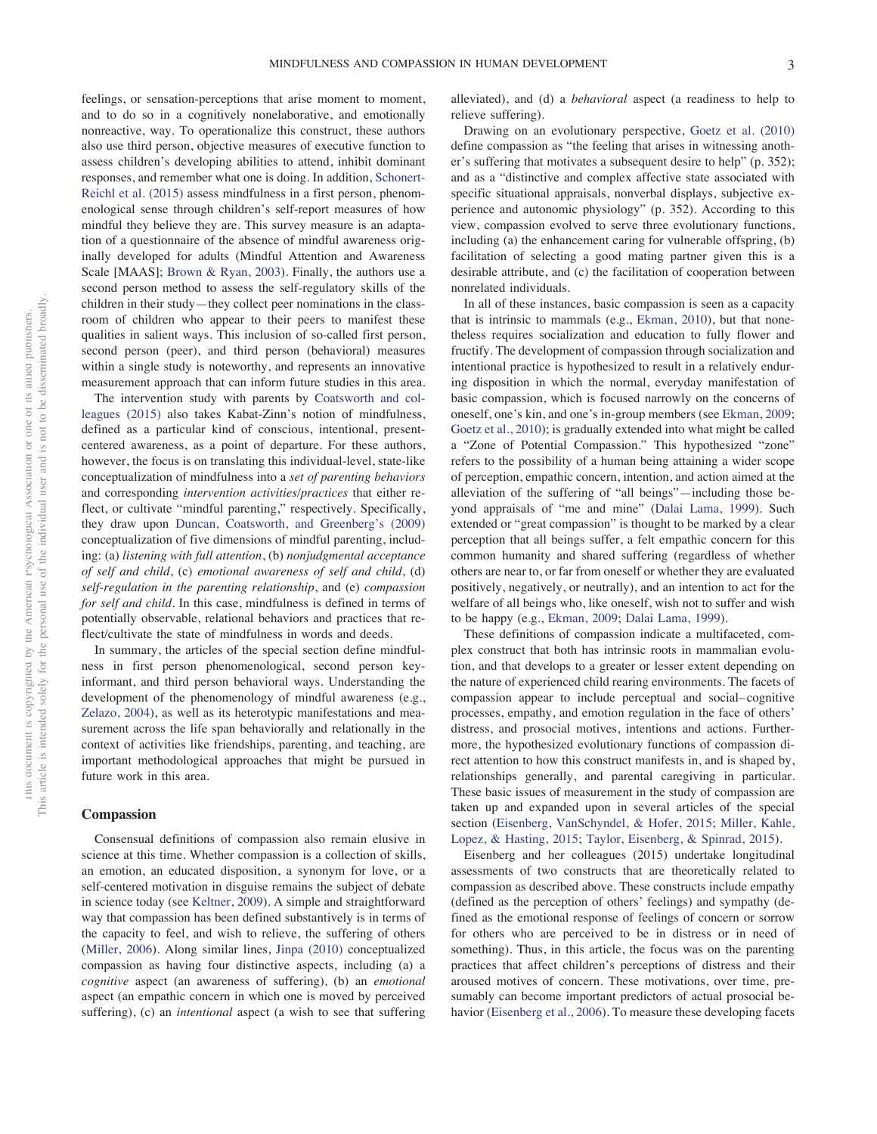feelings, or sensation-perceptions that arise moment to moment, and to do so in a cognitively nonelaborative, and emotionally nonreactive, way. To operationalize this construct, these authors also use third person, objective measures of executive function to assess children's developing abilities to attend, inhibit dominant responses, and remember what one is doing. In addition, Schonert-Reichl et al. (2015) assess mindfulness in a first person, phenomenological sense through children's self-report measures of how mindful they believe they are. This survey measure is an adaptation of a questionnaire of the absence of mindful awareness originally developed for adults (Mindful Attention and Awareness Scale [MAAS]; Brown & Ryan, 2003). Finally, the authors use a second person method to assess the self-regulatory skills of the children in their study—they collect peer nominations in the classroom of children who appear to their peers to manifest these qualities in salient ways. This inclusion of so-called first person, second person (peer), and third person (behavioral) measures within a single study is noteworthy, and represents an innovative measurement approach that can inform future studies in this area.

The intervention study with parents by Coatsworth and colleagues (2015) also takes Kabat-Zinn's notion of mindfulness, defined as a particular kind of conscious, intentional, presentcentered awareness, as a point of departure. For these authors, however, the focus is on translating this individual-level, state-like conceptualization of mindfulness into a *set of parenting behaviors* and corresponding *intervention activities/practices* that either reflect, or cultivate "mindful parenting," respectively. Specifically, they draw upon Duncan, Coatsworth, and Greenberg's (2009) conceptualization of five dimensions of mindful parenting, including: (a) *listening with full attention*, (b) *nonjudgmental acceptance of self and child*, (c) *emotional awareness of self and child*, (d) *self-regulation in the parenting relationship*, and (e) *compassion for self and child.* In this case, mindfulness is defined in terms of potentially observable, relational behaviors and practices that reflect/cultivate the state of mindfulness in words and deeds.

In summary, the articles of the special section define mindfulness in first person phenomenological, second person keyinformant, and third person behavioral ways. Understanding the development of the phenomenology of mindful awareness (e.g., Zelazo, 2004), as well as its heterotypic manifestations and measurement across the life span behaviorally and relationally in the context of activities like friendships, parenting, and teaching, are important methodological approaches that might be pursued in future work in this area.

#### **Compassion**

Consensual definitions of compassion also remain elusive in science at this time. Whether compassion is a collection of skills, an emotion, an educated disposition, a synonym for love, or a self-centered motivation in disguise remains the subject of debate in science today (see Keltner, 2009). A simple and straightforward way that compassion has been defined substantively is in terms of the capacity to feel, and wish to relieve, the suffering of others (Miller, 2006). Along similar lines, Jinpa (2010) conceptualized compassion as having four distinctive aspects, including (a) a *cognitive* aspect (an awareness of suffering), (b) an *emotional* aspect (an empathic concern in which one is moved by perceived suffering), (c) an *intentional* aspect (a wish to see that suffering

alleviated), and (d) a *behavioral* aspect (a readiness to help to relieve suffering).

Drawing on an evolutionary perspective, Goetz et al. (2010) define compassion as "the feeling that arises in witnessing another's suffering that motivates a subsequent desire to help" (p. 352); and as a "distinctive and complex affective state associated with specific situational appraisals, nonverbal displays, subjective experience and autonomic physiology" (p. 352). According to this view, compassion evolved to serve three evolutionary functions, including (a) the enhancement caring for vulnerable offspring, (b) facilitation of selecting a good mating partner given this is a desirable attribute, and (c) the facilitation of cooperation between nonrelated individuals.

In all of these instances, basic compassion is seen as a capacity that is intrinsic to mammals (e.g., Ekman, 2010), but that nonetheless requires socialization and education to fully flower and fructify. The development of compassion through socialization and intentional practice is hypothesized to result in a relatively enduring disposition in which the normal, everyday manifestation of basic compassion, which is focused narrowly on the concerns of oneself, one's kin, and one's in-group members (see Ekman, 2009; Goetz et al., 2010); is gradually extended into what might be called a "Zone of Potential Compassion." This hypothesized "zone" refers to the possibility of a human being attaining a wider scope of perception, empathic concern, intention, and action aimed at the alleviation of the suffering of "all beings"—including those beyond appraisals of "me and mine" (Dalai Lama, 1999). Such extended or "great compassion" is thought to be marked by a clear perception that all beings suffer, a felt empathic concern for this common humanity and shared suffering (regardless of whether others are near to, or far from oneself or whether they are evaluated positively, negatively, or neutrally), and an intention to act for the welfare of all beings who, like oneself, wish not to suffer and wish to be happy (e.g., Ekman, 2009; Dalai Lama, 1999).

These definitions of compassion indicate a multifaceted, complex construct that both has intrinsic roots in mammalian evolution, and that develops to a greater or lesser extent depending on the nature of experienced child rearing environments. The facets of compassion appear to include perceptual and social– cognitive processes, empathy, and emotion regulation in the face of others' distress, and prosocial motives, intentions and actions. Furthermore, the hypothesized evolutionary functions of compassion direct attention to how this construct manifests in, and is shaped by, relationships generally, and parental caregiving in particular. These basic issues of measurement in the study of compassion are taken up and expanded upon in several articles of the special section (Eisenberg, VanSchyndel, & Hofer, 2015; Miller, Kahle, Lopez, & Hasting, 2015; Taylor, Eisenberg, & Spinrad, 2015).

Eisenberg and her colleagues (2015) undertake longitudinal assessments of two constructs that are theoretically related to compassion as described above. These constructs include empathy (defined as the perception of others' feelings) and sympathy (defined as the emotional response of feelings of concern or sorrow for others who are perceived to be in distress or in need of something). Thus, in this article, the focus was on the parenting practices that affect children's perceptions of distress and their aroused motives of concern. These motivations, over time, presumably can become important predictors of actual prosocial behavior (Eisenberg et al., 2006). To measure these developing facets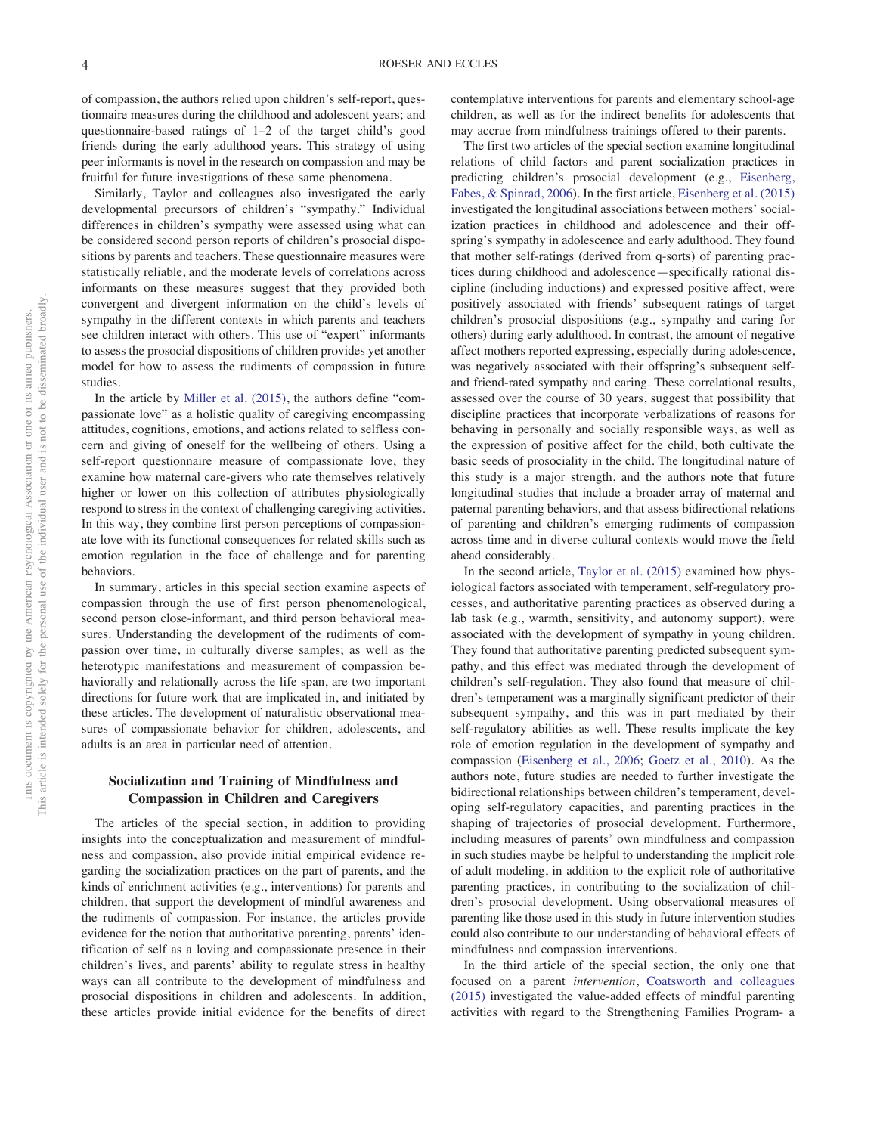of compassion, the authors relied upon children's self-report, questionnaire measures during the childhood and adolescent years; and questionnaire-based ratings of 1–2 of the target child's good friends during the early adulthood years. This strategy of using peer informants is novel in the research on compassion and may be fruitful for future investigations of these same phenomena.

Similarly, Taylor and colleagues also investigated the early developmental precursors of children's "sympathy." Individual differences in children's sympathy were assessed using what can be considered second person reports of children's prosocial dispositions by parents and teachers. These questionnaire measures were statistically reliable, and the moderate levels of correlations across informants on these measures suggest that they provided both convergent and divergent information on the child's levels of sympathy in the different contexts in which parents and teachers see children interact with others. This use of "expert" informants to assess the prosocial dispositions of children provides yet another model for how to assess the rudiments of compassion in future studies.

In the article by Miller et al. (2015), the authors define "compassionate love" as a holistic quality of caregiving encompassing attitudes, cognitions, emotions, and actions related to selfless concern and giving of oneself for the wellbeing of others. Using a self-report questionnaire measure of compassionate love, they examine how maternal care-givers who rate themselves relatively higher or lower on this collection of attributes physiologically respond to stress in the context of challenging caregiving activities. In this way, they combine first person perceptions of compassionate love with its functional consequences for related skills such as emotion regulation in the face of challenge and for parenting behaviors.

In summary, articles in this special section examine aspects of compassion through the use of first person phenomenological, second person close-informant, and third person behavioral measures. Understanding the development of the rudiments of compassion over time, in culturally diverse samples; as well as the heterotypic manifestations and measurement of compassion behaviorally and relationally across the life span, are two important directions for future work that are implicated in, and initiated by these articles. The development of naturalistic observational measures of compassionate behavior for children, adolescents, and adults is an area in particular need of attention.

# **Socialization and Training of Mindfulness and Compassion in Children and Caregivers**

The articles of the special section, in addition to providing insights into the conceptualization and measurement of mindfulness and compassion, also provide initial empirical evidence regarding the socialization practices on the part of parents, and the kinds of enrichment activities (e.g., interventions) for parents and children, that support the development of mindful awareness and the rudiments of compassion. For instance, the articles provide evidence for the notion that authoritative parenting, parents' identification of self as a loving and compassionate presence in their children's lives, and parents' ability to regulate stress in healthy ways can all contribute to the development of mindfulness and prosocial dispositions in children and adolescents. In addition, these articles provide initial evidence for the benefits of direct

contemplative interventions for parents and elementary school-age children, as well as for the indirect benefits for adolescents that may accrue from mindfulness trainings offered to their parents.

The first two articles of the special section examine longitudinal relations of child factors and parent socialization practices in predicting children's prosocial development (e.g., Eisenberg, Fabes, & Spinrad, 2006). In the first article, Eisenberg et al. (2015) investigated the longitudinal associations between mothers' socialization practices in childhood and adolescence and their offspring's sympathy in adolescence and early adulthood. They found that mother self-ratings (derived from q-sorts) of parenting practices during childhood and adolescence—specifically rational discipline (including inductions) and expressed positive affect, were positively associated with friends' subsequent ratings of target children's prosocial dispositions (e.g., sympathy and caring for others) during early adulthood. In contrast, the amount of negative affect mothers reported expressing, especially during adolescence, was negatively associated with their offspring's subsequent selfand friend-rated sympathy and caring. These correlational results, assessed over the course of 30 years, suggest that possibility that discipline practices that incorporate verbalizations of reasons for behaving in personally and socially responsible ways, as well as the expression of positive affect for the child, both cultivate the basic seeds of prosociality in the child. The longitudinal nature of this study is a major strength, and the authors note that future longitudinal studies that include a broader array of maternal and paternal parenting behaviors, and that assess bidirectional relations of parenting and children's emerging rudiments of compassion across time and in diverse cultural contexts would move the field ahead considerably.

In the second article, Taylor et al. (2015) examined how physiological factors associated with temperament, self-regulatory processes, and authoritative parenting practices as observed during a lab task (e.g., warmth, sensitivity, and autonomy support), were associated with the development of sympathy in young children. They found that authoritative parenting predicted subsequent sympathy, and this effect was mediated through the development of children's self-regulation. They also found that measure of children's temperament was a marginally significant predictor of their subsequent sympathy, and this was in part mediated by their self-regulatory abilities as well. These results implicate the key role of emotion regulation in the development of sympathy and compassion (Eisenberg et al., 2006; Goetz et al., 2010). As the authors note, future studies are needed to further investigate the bidirectional relationships between children's temperament, developing self-regulatory capacities, and parenting practices in the shaping of trajectories of prosocial development. Furthermore, including measures of parents' own mindfulness and compassion in such studies maybe be helpful to understanding the implicit role of adult modeling, in addition to the explicit role of authoritative parenting practices, in contributing to the socialization of children's prosocial development. Using observational measures of parenting like those used in this study in future intervention studies could also contribute to our understanding of behavioral effects of mindfulness and compassion interventions.

In the third article of the special section, the only one that focused on a parent *intervention*, Coatsworth and colleagues (2015) investigated the value-added effects of mindful parenting activities with regard to the Strengthening Families Program- a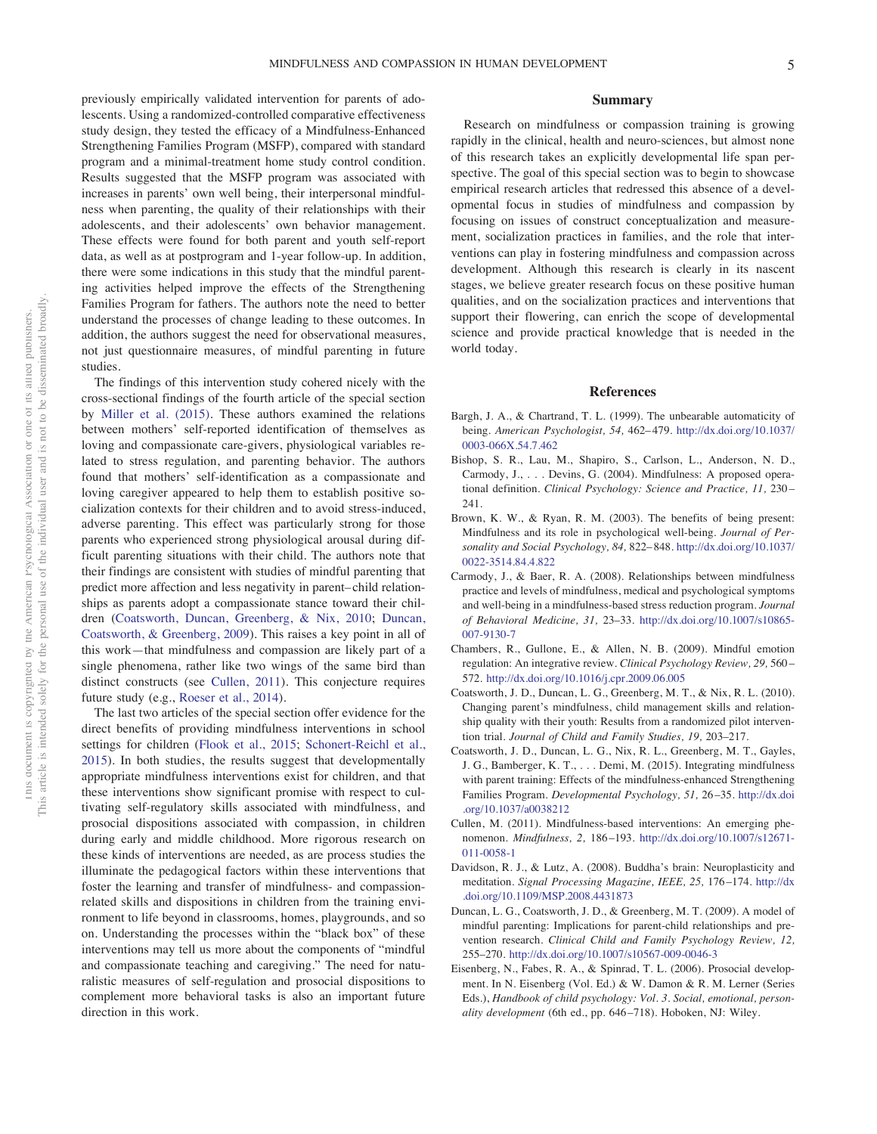previously empirically validated intervention for parents of adolescents. Using a randomized-controlled comparative effectiveness study design, they tested the efficacy of a Mindfulness-Enhanced Strengthening Families Program (MSFP), compared with standard program and a minimal-treatment home study control condition. Results suggested that the MSFP program was associated with increases in parents' own well being, their interpersonal mindfulness when parenting, the quality of their relationships with their adolescents, and their adolescents' own behavior management. These effects were found for both parent and youth self-report data, as well as at postprogram and 1-year follow-up. In addition, there were some indications in this study that the mindful parenting activities helped improve the effects of the Strengthening Families Program for fathers. The authors note the need to better understand the processes of change leading to these outcomes. In addition, the authors suggest the need for observational measures, not just questionnaire measures, of mindful parenting in future studies.

The findings of this intervention study cohered nicely with the cross-sectional findings of the fourth article of the special section by Miller et al. (2015). These authors examined the relations between mothers' self-reported identification of themselves as loving and compassionate care-givers, physiological variables related to stress regulation, and parenting behavior. The authors found that mothers' self-identification as a compassionate and loving caregiver appeared to help them to establish positive socialization contexts for their children and to avoid stress-induced, adverse parenting. This effect was particularly strong for those parents who experienced strong physiological arousal during difficult parenting situations with their child. The authors note that their findings are consistent with studies of mindful parenting that predict more affection and less negativity in parent– child relationships as parents adopt a compassionate stance toward their children (Coatsworth, Duncan, Greenberg, & Nix, 2010; Duncan, Coatsworth, & Greenberg, 2009). This raises a key point in all of this work—that mindfulness and compassion are likely part of a single phenomena, rather like two wings of the same bird than distinct constructs (see Cullen, 2011). This conjecture requires future study (e.g., Roeser et al., 2014).

The last two articles of the special section offer evidence for the direct benefits of providing mindfulness interventions in school settings for children (Flook et al., 2015; Schonert-Reichl et al., 2015). In both studies, the results suggest that developmentally appropriate mindfulness interventions exist for children, and that these interventions show significant promise with respect to cultivating self-regulatory skills associated with mindfulness, and prosocial dispositions associated with compassion, in children during early and middle childhood. More rigorous research on these kinds of interventions are needed, as are process studies the illuminate the pedagogical factors within these interventions that foster the learning and transfer of mindfulness- and compassionrelated skills and dispositions in children from the training environment to life beyond in classrooms, homes, playgrounds, and so on. Understanding the processes within the "black box" of these interventions may tell us more about the components of "mindful and compassionate teaching and caregiving." The need for naturalistic measures of self-regulation and prosocial dispositions to complement more behavioral tasks is also an important future direction in this work.

#### **Summary**

Research on mindfulness or compassion training is growing rapidly in the clinical, health and neuro-sciences, but almost none of this research takes an explicitly developmental life span perspective. The goal of this special section was to begin to showcase empirical research articles that redressed this absence of a developmental focus in studies of mindfulness and compassion by focusing on issues of construct conceptualization and measurement, socialization practices in families, and the role that interventions can play in fostering mindfulness and compassion across development. Although this research is clearly in its nascent stages, we believe greater research focus on these positive human qualities, and on the socialization practices and interventions that support their flowering, can enrich the scope of developmental science and provide practical knowledge that is needed in the world today.

#### **References**

- Bargh, J. A., & Chartrand, T. L. (1999). The unb[earable automaticity of](http://dx.doi.org/10.1037/0003-066X.54.7.462) being. *[American Psycho](http://dx.doi.org/10.1037/0003-066X.54.7.462)logist, 54,* 462– 479. http://dx.doi.org/10.1037/ 0003-066X.54.7.462
- Bishop, S. R., Lau, M., Shapiro, S., Carlson, L., Anderson, N. D., Carmody, J.,... Devins, G. (2004). Mindfulness: A proposed operational definition. *Clinical Psychology: Science and Practice, 11,* 230 – 241.
- Brown, K. W., & Ryan, R. M. (2003). The benefits of being present: Mindfulness and its role in psychological well-being. *[Journal of Per](http://dx.doi.org/10.1037/0022-3514.84.4.822)so[nality and Social Psy](http://dx.doi.org/10.1037/0022-3514.84.4.822)chology, 84,* 822– 848. http://dx.doi.org/10.1037/ 0022-3514.84.4.822
- Carmody, J., & Baer, R. A. (2008). Relationships between mindfulness practice and levels of mindfulness, medical and psychological symptoms and well-being in a mindfulness-based st[ress reduction program.](http://dx.doi.org/10.1007/s10865-007-9130-7) *Journal of [Behavioral](http://dx.doi.org/10.1007/s10865-007-9130-7) Medicine, 31,* 23–33. http://dx.doi.org/10.1007/s10865- 007-9130-7
- Chambers, R., Gullone, E., & Allen, N. B. (2009). Mindful emotion regulati[on: An integrative review.](http://dx.doi.org/10.1016/j.cpr.2009.06.005) *Clinical Psychology Review, 29,* 560 – 572. http://dx.doi.org/10.1016/j.cpr.2009.06.005
- Coatsworth, J. D., Duncan, L. G., Greenberg, M. T., & Nix, R. L. (2010). Changing parent's mindfulness, child management skills and relationship quality with their youth: Results from a randomized pilot intervention trial. *Journal of Child and Family Studies, 19,* 203–217.
- Coatsworth, J. D., Duncan, L. G., Nix, R. L., Greenberg, M. T., Gayles, J. G., Bamberger, K. T.,... Demi, M. (2015). Integrating mindfulness with parent training: Effects of the mindfulness-enhanced Stre[ngthening](http://dx.doi.org/10.1037/a0038212) F[amilies Program.](http://dx.doi.org/10.1037/a0038212) *Developmental Psychology, 51,* 26 –35. http://dx.doi .org/10.1037/a0038212
- Cullen, M. (2011). Mindfulness-based int[erventions: An emerging phe](http://dx.doi.org/10.1007/s12671-011-0058-1)n[omenon.](http://dx.doi.org/10.1007/s12671-011-0058-1) *Mindfulness, 2,* 186 –193. http://dx.doi.org/10.1007/s12671- 011-0058-1
- Davidson, R. J., & Lutz, A. (2008). Buddha's brain: Neuroplastici[ty and](http://dx.doi.org/10.1109/MSP.2008.4431873) meditation. *[Signal Processing Magazine](http://dx.doi.org/10.1109/MSP.2008.4431873), IEEE, 25,* 176 –174. http://dx .doi.org/10.1109/MSP.2008.4431873
- Duncan, L. G., Coatsworth, J. D., & Greenberg, M. T. (2009). A model of mindful parenting: Implications for parent-child relationships and prevention research. *[Clinical Child and Family Psychology](http://dx.doi.org/10.1007/s10567-009-0046-3) Review, 12,* 255–270. http://dx.doi.org/10.1007/s10567-009-0046-3
- Eisenberg, N., Fabes, R. A., & Spinrad, T. L. (2006). Prosocial development. In N. Eisenberg (Vol. Ed.) & W. Damon & R. M. Lerner (Series Eds.), *Handbook of child psychology: Vol. 3*. *Social, emotional, personality development* (6th ed., pp. 646 –718). Hoboken, NJ: Wiley.